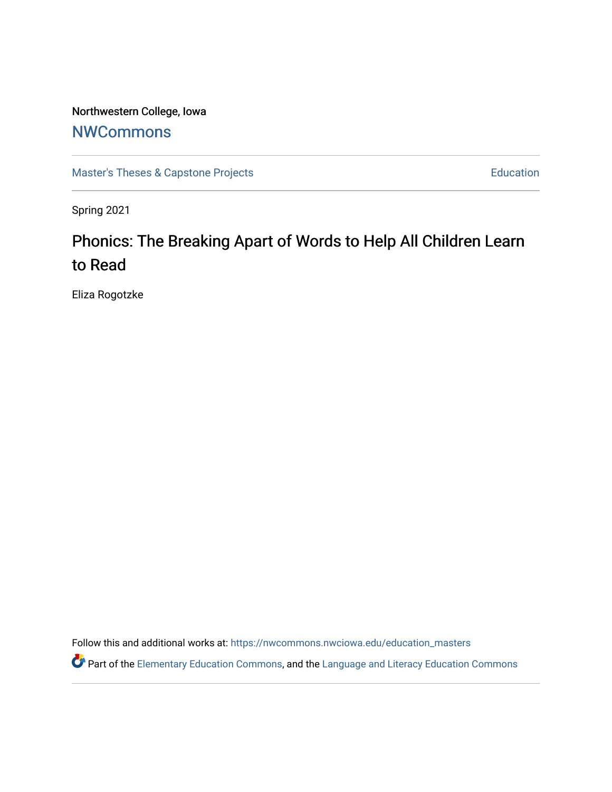# Northwestern College, Iowa

# **[NWCommons](https://nwcommons.nwciowa.edu/)**

[Master's Theses & Capstone Projects](https://nwcommons.nwciowa.edu/education_masters) **Education** Education

Spring 2021

# Phonics: The Breaking Apart of Words to Help All Children Learn to Read

Eliza Rogotzke

Follow this and additional works at: [https://nwcommons.nwciowa.edu/education\\_masters](https://nwcommons.nwciowa.edu/education_masters?utm_source=nwcommons.nwciowa.edu%2Feducation_masters%2F297&utm_medium=PDF&utm_campaign=PDFCoverPages)

Part of the [Elementary Education Commons,](http://network.bepress.com/hgg/discipline/1378?utm_source=nwcommons.nwciowa.edu%2Feducation_masters%2F297&utm_medium=PDF&utm_campaign=PDFCoverPages) and the [Language and Literacy Education Commons](http://network.bepress.com/hgg/discipline/1380?utm_source=nwcommons.nwciowa.edu%2Feducation_masters%2F297&utm_medium=PDF&utm_campaign=PDFCoverPages)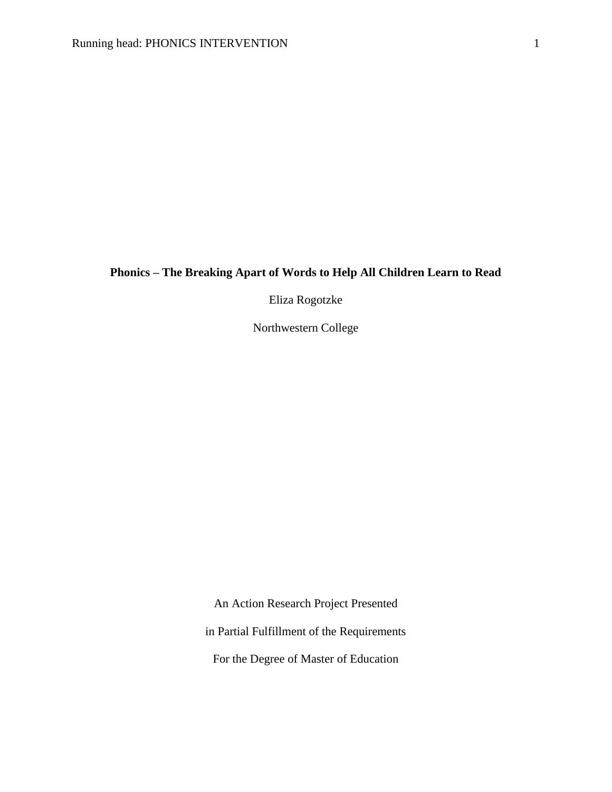# **Phonics – The Breaking Apart of Words to Help All Children Learn to Read**

Eliza Rogotzke

Northwestern College

An Action Research Project Presented in Partial Fulfillment of the Requirements For the Degree of Master of Education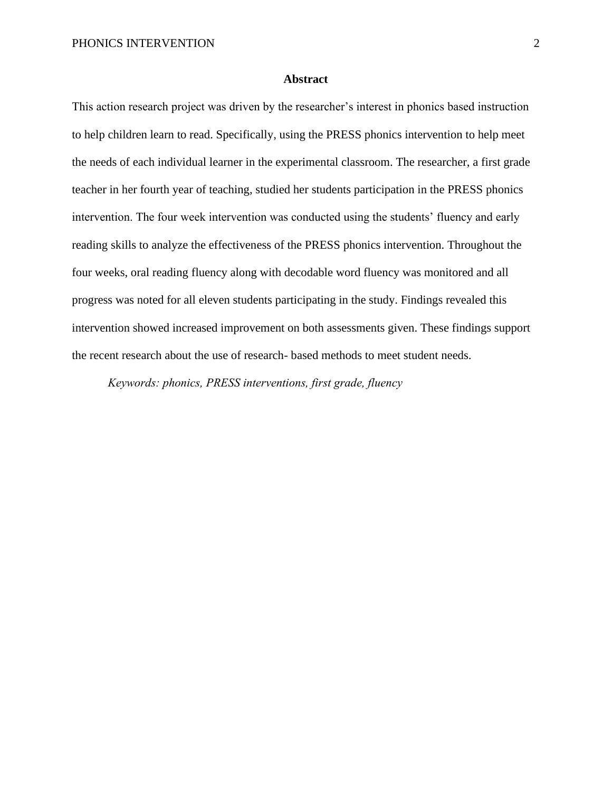#### **Abstract**

This action research project was driven by the researcher's interest in phonics based instruction to help children learn to read. Specifically, using the PRESS phonics intervention to help meet the needs of each individual learner in the experimental classroom. The researcher, a first grade teacher in her fourth year of teaching, studied her students participation in the PRESS phonics intervention. The four week intervention was conducted using the students' fluency and early reading skills to analyze the effectiveness of the PRESS phonics intervention. Throughout the four weeks, oral reading fluency along with decodable word fluency was monitored and all progress was noted for all eleven students participating in the study. Findings revealed this intervention showed increased improvement on both assessments given. These findings support the recent research about the use of research- based methods to meet student needs.

*Keywords: phonics, PRESS interventions, first grade, fluency*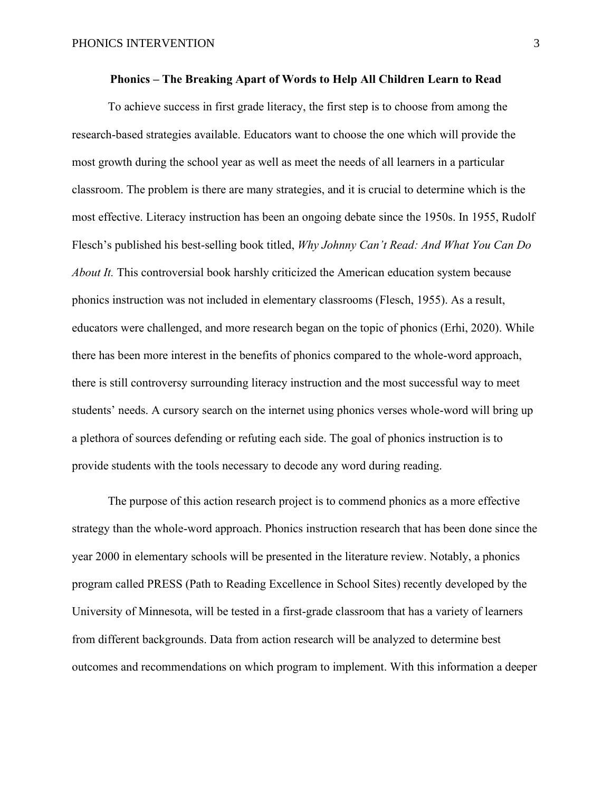To achieve success in first grade literacy, the first step is to choose from among the research-based strategies available. Educators want to choose the one which will provide the most growth during the school year as well as meet the needs of all learners in a particular classroom. The problem is there are many strategies, and it is crucial to determine which is the most effective. Literacy instruction has been an ongoing debate since the 1950s. In 1955, Rudolf Flesch's published his best-selling book titled, *Why Johnny Can't Read: And What You Can Do About It.* This controversial book harshly criticized the American education system because phonics instruction was not included in elementary classrooms (Flesch, 1955). As a result, educators were challenged, and more research began on the topic of phonics (Erhi, 2020). While there has been more interest in the benefits of phonics compared to the whole-word approach, there is still controversy surrounding literacy instruction and the most successful way to meet students' needs. A cursory search on the internet using phonics verses whole-word will bring up a plethora of sources defending or refuting each side. The goal of phonics instruction is to provide students with the tools necessary to decode any word during reading.

The purpose of this action research project is to commend phonics as a more effective strategy than the whole-word approach. Phonics instruction research that has been done since the year 2000 in elementary schools will be presented in the literature review. Notably, a phonics program called PRESS (Path to Reading Excellence in School Sites) recently developed by the University of Minnesota, will be tested in a first-grade classroom that has a variety of learners from different backgrounds. Data from action research will be analyzed to determine best outcomes and recommendations on which program to implement. With this information a deeper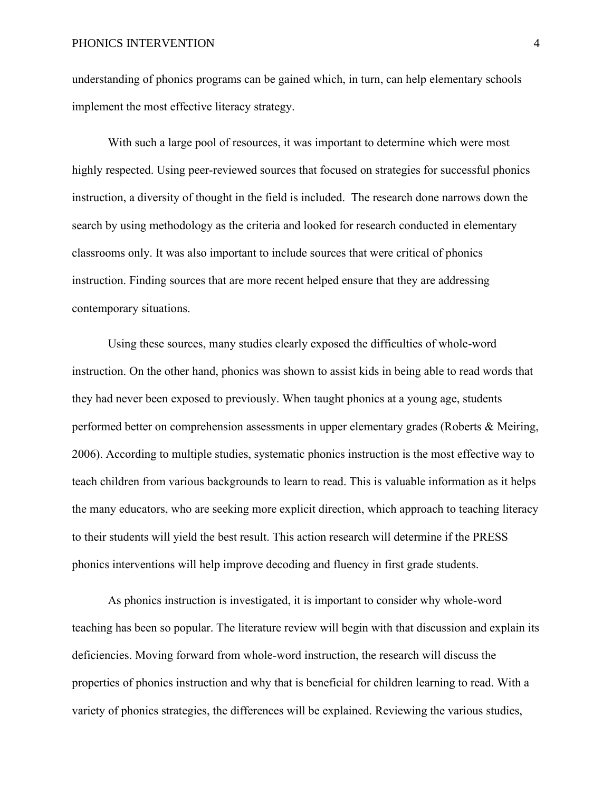understanding of phonics programs can be gained which, in turn, can help elementary schools implement the most effective literacy strategy.

With such a large pool of resources, it was important to determine which were most highly respected. Using peer-reviewed sources that focused on strategies for successful phonics instruction, a diversity of thought in the field is included. The research done narrows down the search by using methodology as the criteria and looked for research conducted in elementary classrooms only. It was also important to include sources that were critical of phonics instruction. Finding sources that are more recent helped ensure that they are addressing contemporary situations.

Using these sources, many studies clearly exposed the difficulties of whole-word instruction. On the other hand, phonics was shown to assist kids in being able to read words that they had never been exposed to previously. When taught phonics at a young age, students performed better on comprehension assessments in upper elementary grades (Roberts & Meiring, 2006). According to multiple studies, systematic phonics instruction is the most effective way to teach children from various backgrounds to learn to read. This is valuable information as it helps the many educators, who are seeking more explicit direction, which approach to teaching literacy to their students will yield the best result. This action research will determine if the PRESS phonics interventions will help improve decoding and fluency in first grade students.

As phonics instruction is investigated, it is important to consider why whole-word teaching has been so popular. The literature review will begin with that discussion and explain its deficiencies. Moving forward from whole-word instruction, the research will discuss the properties of phonics instruction and why that is beneficial for children learning to read. With a variety of phonics strategies, the differences will be explained. Reviewing the various studies,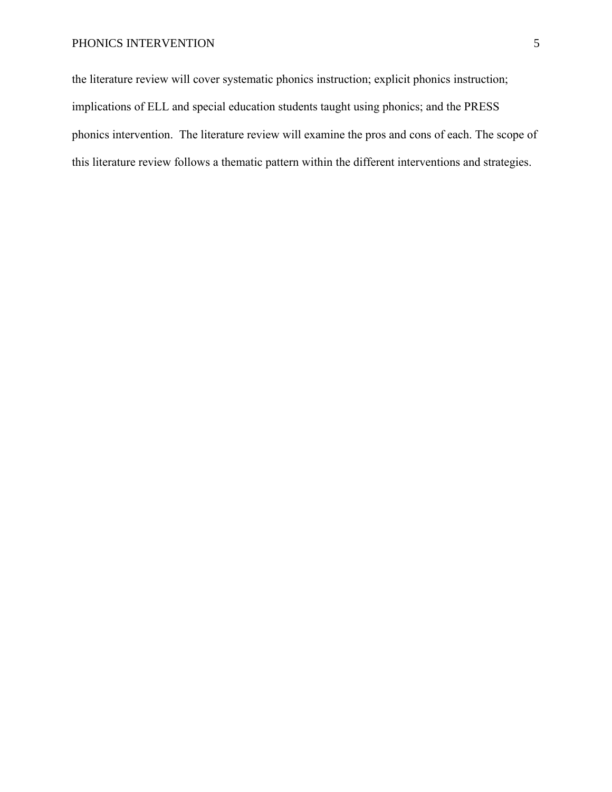the literature review will cover systematic phonics instruction; explicit phonics instruction; implications of ELL and special education students taught using phonics; and the PRESS phonics intervention. The literature review will examine the pros and cons of each. The scope of this literature review follows a thematic pattern within the different interventions and strategies.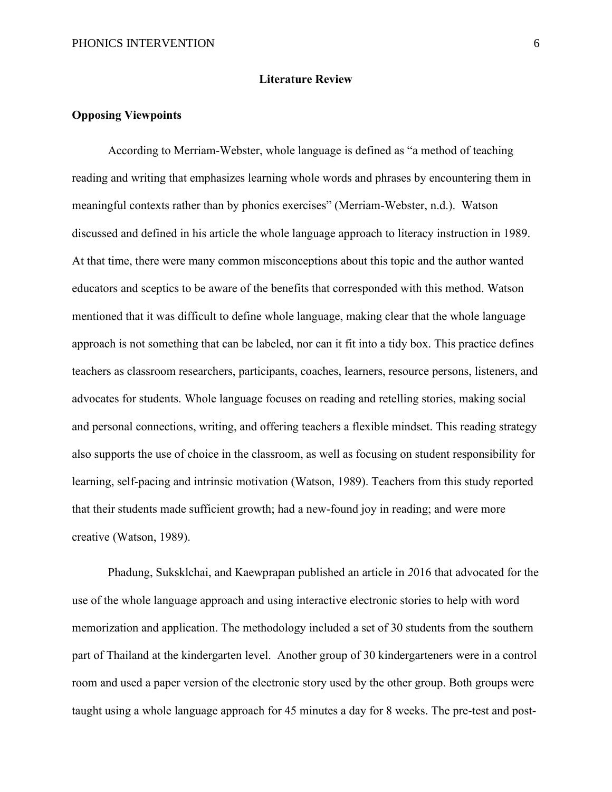#### **Literature Review**

#### **Opposing Viewpoints**

According to Merriam-Webster, whole language is defined as "a method of teaching reading and writing that emphasizes learning whole words and phrases by encountering them in meaningful contexts rather than by phonics exercises" (Merriam-Webster, n.d.). Watson discussed and defined in his article the whole language approach to literacy instruction in 1989. At that time, there were many common misconceptions about this topic and the author wanted educators and sceptics to be aware of the benefits that corresponded with this method. Watson mentioned that it was difficult to define whole language, making clear that the whole language approach is not something that can be labeled, nor can it fit into a tidy box. This practice defines teachers as classroom researchers, participants, coaches, learners, resource persons, listeners, and advocates for students. Whole language focuses on reading and retelling stories, making social and personal connections, writing, and offering teachers a flexible mindset. This reading strategy also supports the use of choice in the classroom, as well as focusing on student responsibility for learning, self-pacing and intrinsic motivation (Watson, 1989). Teachers from this study reported that their students made sufficient growth; had a new-found joy in reading; and were more creative (Watson, 1989).

Phadung, Suksklchai, and Kaewprapan published an article in *2*016 that advocated for the use of the whole language approach and using interactive electronic stories to help with word memorization and application. The methodology included a set of 30 students from the southern part of Thailand at the kindergarten level. Another group of 30 kindergarteners were in a control room and used a paper version of the electronic story used by the other group. Both groups were taught using a whole language approach for 45 minutes a day for 8 weeks. The pre-test and post-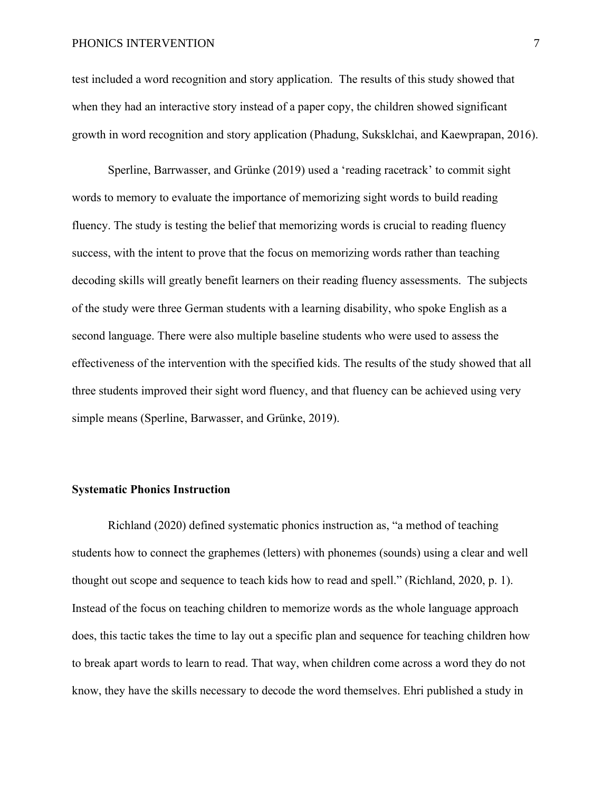test included a word recognition and story application. The results of this study showed that when they had an interactive story instead of a paper copy, the children showed significant growth in word recognition and story application (Phadung, Suksklchai, and Kaewprapan, 2016).

Sperline, Barrwasser, and Grünke (2019) used a 'reading racetrack' to commit sight words to memory to evaluate the importance of memorizing sight words to build reading fluency. The study is testing the belief that memorizing words is crucial to reading fluency success, with the intent to prove that the focus on memorizing words rather than teaching decoding skills will greatly benefit learners on their reading fluency assessments. The subjects of the study were three German students with a learning disability, who spoke English as a second language. There were also multiple baseline students who were used to assess the effectiveness of the intervention with the specified kids. The results of the study showed that all three students improved their sight word fluency, and that fluency can be achieved using very simple means (Sperline, Barwasser, and Grünke, 2019).

## **Systematic Phonics Instruction**

Richland (2020) defined systematic phonics instruction as, "a method of teaching students how to connect the graphemes (letters) with phonemes (sounds) using a clear and well thought out scope and sequence to teach kids how to read and spell." (Richland, 2020, p. 1). Instead of the focus on teaching children to memorize words as the whole language approach does, this tactic takes the time to lay out a specific plan and sequence for teaching children how to break apart words to learn to read. That way, when children come across a word they do not know, they have the skills necessary to decode the word themselves. Ehri published a study in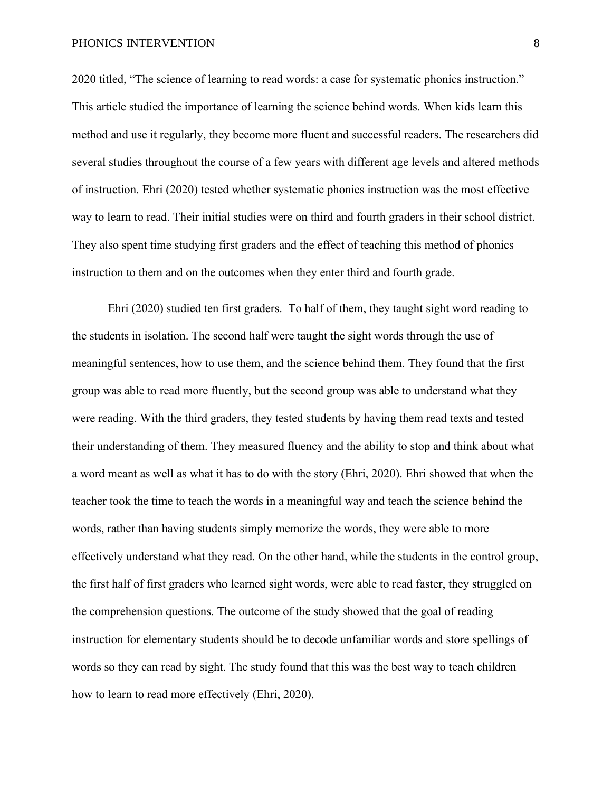2020 titled, "The science of learning to read words: a case for systematic phonics instruction." This article studied the importance of learning the science behind words. When kids learn this method and use it regularly, they become more fluent and successful readers. The researchers did several studies throughout the course of a few years with different age levels and altered methods of instruction. Ehri (2020) tested whether systematic phonics instruction was the most effective way to learn to read. Their initial studies were on third and fourth graders in their school district. They also spent time studying first graders and the effect of teaching this method of phonics instruction to them and on the outcomes when they enter third and fourth grade.

Ehri (2020) studied ten first graders. To half of them, they taught sight word reading to the students in isolation. The second half were taught the sight words through the use of meaningful sentences, how to use them, and the science behind them. They found that the first group was able to read more fluently, but the second group was able to understand what they were reading. With the third graders, they tested students by having them read texts and tested their understanding of them. They measured fluency and the ability to stop and think about what a word meant as well as what it has to do with the story (Ehri, 2020). Ehri showed that when the teacher took the time to teach the words in a meaningful way and teach the science behind the words, rather than having students simply memorize the words, they were able to more effectively understand what they read. On the other hand, while the students in the control group, the first half of first graders who learned sight words, were able to read faster, they struggled on the comprehension questions. The outcome of the study showed that the goal of reading instruction for elementary students should be to decode unfamiliar words and store spellings of words so they can read by sight. The study found that this was the best way to teach children how to learn to read more effectively (Ehri, 2020).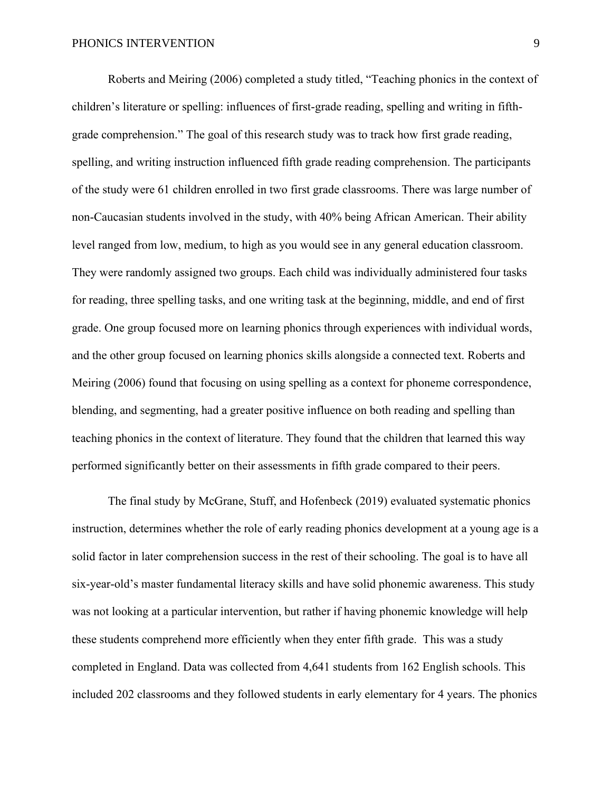Roberts and Meiring (2006) completed a study titled, "Teaching phonics in the context of children's literature or spelling: influences of first-grade reading, spelling and writing in fifthgrade comprehension." The goal of this research study was to track how first grade reading, spelling, and writing instruction influenced fifth grade reading comprehension. The participants of the study were 61 children enrolled in two first grade classrooms. There was large number of non-Caucasian students involved in the study, with 40% being African American. Their ability level ranged from low, medium, to high as you would see in any general education classroom. They were randomly assigned two groups. Each child was individually administered four tasks for reading, three spelling tasks, and one writing task at the beginning, middle, and end of first grade. One group focused more on learning phonics through experiences with individual words, and the other group focused on learning phonics skills alongside a connected text. Roberts and Meiring (2006) found that focusing on using spelling as a context for phoneme correspondence, blending, and segmenting, had a greater positive influence on both reading and spelling than teaching phonics in the context of literature. They found that the children that learned this way performed significantly better on their assessments in fifth grade compared to their peers.

The final study by McGrane, Stuff, and Hofenbeck (2019) evaluated systematic phonics instruction, determines whether the role of early reading phonics development at a young age is a solid factor in later comprehension success in the rest of their schooling. The goal is to have all six-year-old's master fundamental literacy skills and have solid phonemic awareness. This study was not looking at a particular intervention, but rather if having phonemic knowledge will help these students comprehend more efficiently when they enter fifth grade. This was a study completed in England. Data was collected from 4,641 students from 162 English schools. This included 202 classrooms and they followed students in early elementary for 4 years. The phonics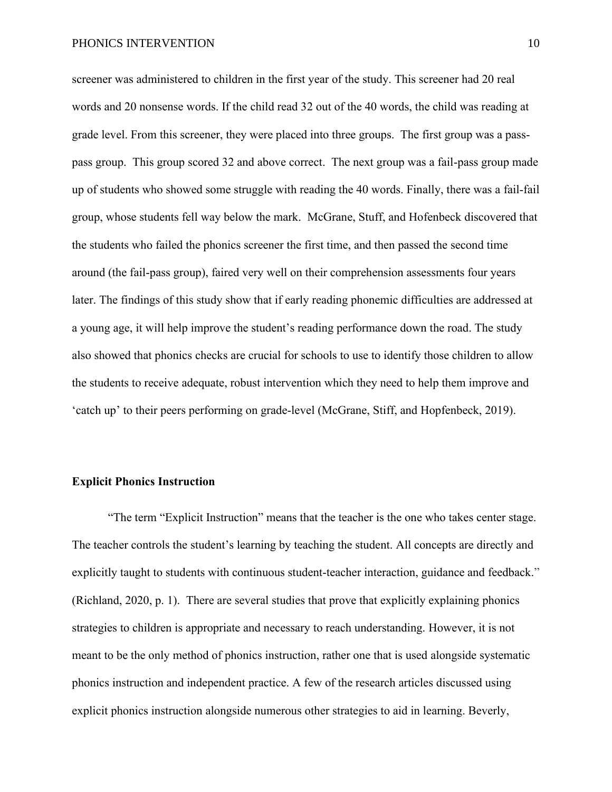screener was administered to children in the first year of the study. This screener had 20 real words and 20 nonsense words. If the child read 32 out of the 40 words, the child was reading at grade level. From this screener, they were placed into three groups. The first group was a passpass group. This group scored 32 and above correct. The next group was a fail-pass group made up of students who showed some struggle with reading the 40 words. Finally, there was a fail-fail group, whose students fell way below the mark. McGrane, Stuff, and Hofenbeck discovered that the students who failed the phonics screener the first time, and then passed the second time around (the fail-pass group), faired very well on their comprehension assessments four years later. The findings of this study show that if early reading phonemic difficulties are addressed at a young age, it will help improve the student's reading performance down the road. The study also showed that phonics checks are crucial for schools to use to identify those children to allow the students to receive adequate, robust intervention which they need to help them improve and 'catch up' to their peers performing on grade-level (McGrane, Stiff, and Hopfenbeck, 2019).

#### **Explicit Phonics Instruction**

"The term "Explicit Instruction" means that the teacher is the one who takes center stage. The teacher controls the student's learning by teaching the student. All concepts are directly and explicitly taught to students with continuous student-teacher interaction, guidance and feedback." (Richland, 2020, p. 1). There are several studies that prove that explicitly explaining phonics strategies to children is appropriate and necessary to reach understanding. However, it is not meant to be the only method of phonics instruction, rather one that is used alongside systematic phonics instruction and independent practice. A few of the research articles discussed using explicit phonics instruction alongside numerous other strategies to aid in learning. Beverly,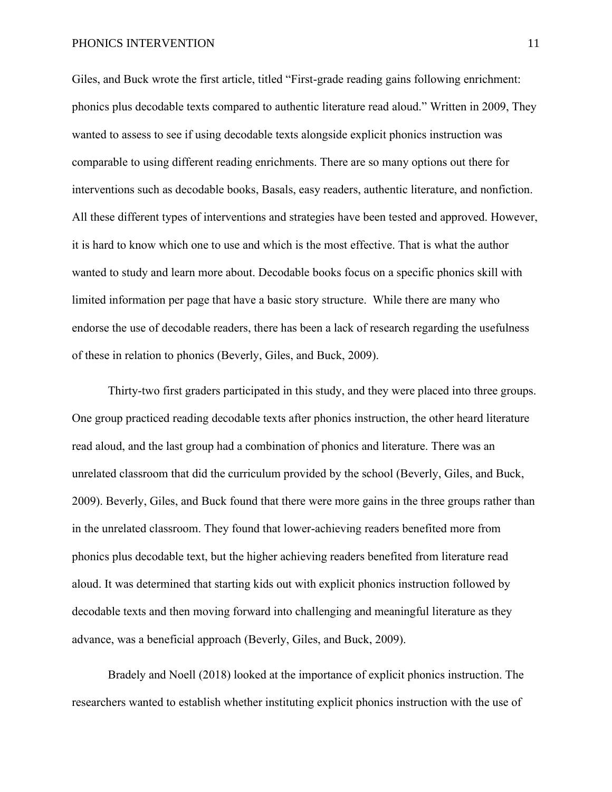Giles, and Buck wrote the first article, titled "First-grade reading gains following enrichment: phonics plus decodable texts compared to authentic literature read aloud." Written in 2009, They wanted to assess to see if using decodable texts alongside explicit phonics instruction was comparable to using different reading enrichments. There are so many options out there for interventions such as decodable books, Basals, easy readers, authentic literature, and nonfiction. All these different types of interventions and strategies have been tested and approved. However, it is hard to know which one to use and which is the most effective. That is what the author wanted to study and learn more about. Decodable books focus on a specific phonics skill with limited information per page that have a basic story structure. While there are many who endorse the use of decodable readers, there has been a lack of research regarding the usefulness of these in relation to phonics (Beverly, Giles, and Buck, 2009).

Thirty-two first graders participated in this study, and they were placed into three groups. One group practiced reading decodable texts after phonics instruction, the other heard literature read aloud, and the last group had a combination of phonics and literature. There was an unrelated classroom that did the curriculum provided by the school (Beverly, Giles, and Buck, 2009). Beverly, Giles, and Buck found that there were more gains in the three groups rather than in the unrelated classroom. They found that lower-achieving readers benefited more from phonics plus decodable text, but the higher achieving readers benefited from literature read aloud. It was determined that starting kids out with explicit phonics instruction followed by decodable texts and then moving forward into challenging and meaningful literature as they advance, was a beneficial approach (Beverly, Giles, and Buck, 2009).

Bradely and Noell (2018) looked at the importance of explicit phonics instruction. The researchers wanted to establish whether instituting explicit phonics instruction with the use of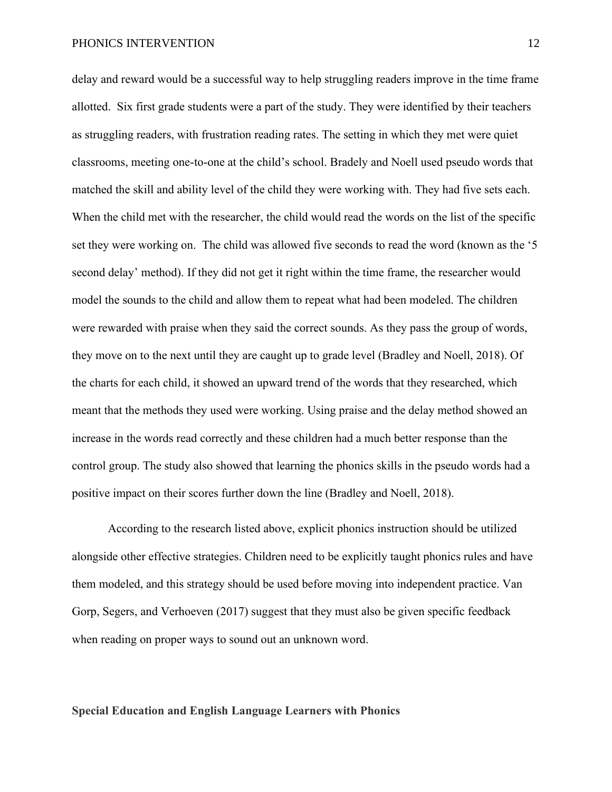delay and reward would be a successful way to help struggling readers improve in the time frame allotted. Six first grade students were a part of the study. They were identified by their teachers as struggling readers, with frustration reading rates. The setting in which they met were quiet classrooms, meeting one-to-one at the child's school. Bradely and Noell used pseudo words that matched the skill and ability level of the child they were working with. They had five sets each. When the child met with the researcher, the child would read the words on the list of the specific set they were working on. The child was allowed five seconds to read the word (known as the '5 second delay' method). If they did not get it right within the time frame, the researcher would model the sounds to the child and allow them to repeat what had been modeled. The children were rewarded with praise when they said the correct sounds. As they pass the group of words, they move on to the next until they are caught up to grade level (Bradley and Noell, 2018). Of the charts for each child, it showed an upward trend of the words that they researched, which meant that the methods they used were working. Using praise and the delay method showed an increase in the words read correctly and these children had a much better response than the control group. The study also showed that learning the phonics skills in the pseudo words had a positive impact on their scores further down the line (Bradley and Noell, 2018).

According to the research listed above, explicit phonics instruction should be utilized alongside other effective strategies. Children need to be explicitly taught phonics rules and have them modeled, and this strategy should be used before moving into independent practice. Van Gorp, Segers, and Verhoeven (2017) suggest that they must also be given specific feedback when reading on proper ways to sound out an unknown word.

#### **Special Education and English Language Learners with Phonics**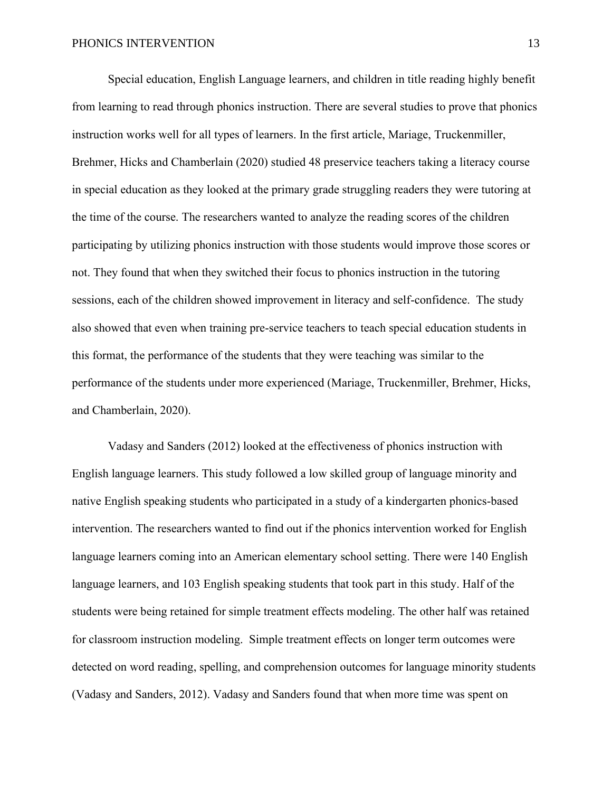Special education, English Language learners, and children in title reading highly benefit from learning to read through phonics instruction. There are several studies to prove that phonics instruction works well for all types of learners. In the first article, Mariage, Truckenmiller, Brehmer, Hicks and Chamberlain (2020) studied 48 preservice teachers taking a literacy course in special education as they looked at the primary grade struggling readers they were tutoring at the time of the course. The researchers wanted to analyze the reading scores of the children participating by utilizing phonics instruction with those students would improve those scores or not. They found that when they switched their focus to phonics instruction in the tutoring sessions, each of the children showed improvement in literacy and self-confidence. The study also showed that even when training pre-service teachers to teach special education students in this format, the performance of the students that they were teaching was similar to the performance of the students under more experienced (Mariage, Truckenmiller, Brehmer, Hicks, and Chamberlain, 2020).

Vadasy and Sanders (2012) looked at the effectiveness of phonics instruction with English language learners. This study followed a low skilled group of language minority and native English speaking students who participated in a study of a kindergarten phonics-based intervention. The researchers wanted to find out if the phonics intervention worked for English language learners coming into an American elementary school setting. There were 140 English language learners, and 103 English speaking students that took part in this study. Half of the students were being retained for simple treatment effects modeling. The other half was retained for classroom instruction modeling. Simple treatment effects on longer term outcomes were detected on word reading, spelling, and comprehension outcomes for language minority students (Vadasy and Sanders, 2012). Vadasy and Sanders found that when more time was spent on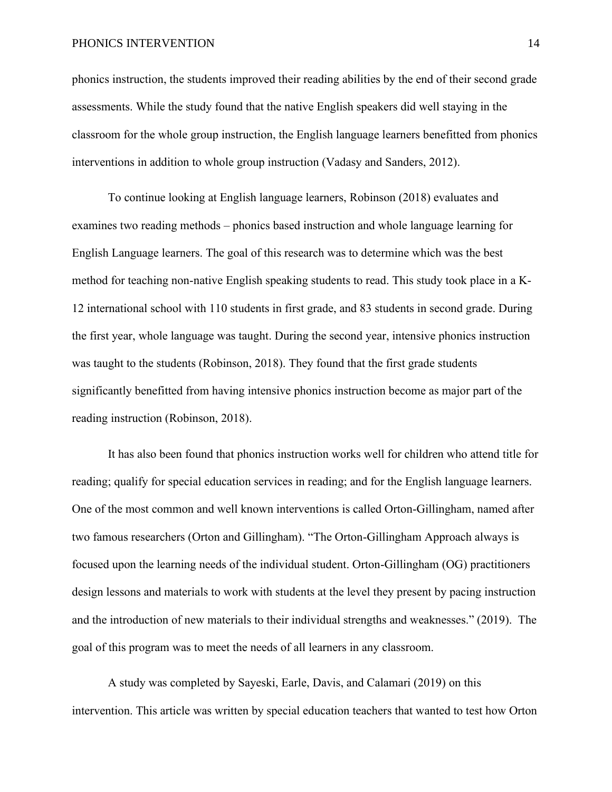phonics instruction, the students improved their reading abilities by the end of their second grade assessments. While the study found that the native English speakers did well staying in the classroom for the whole group instruction, the English language learners benefitted from phonics interventions in addition to whole group instruction (Vadasy and Sanders, 2012).

To continue looking at English language learners, Robinson (2018) evaluates and examines two reading methods – phonics based instruction and whole language learning for English Language learners. The goal of this research was to determine which was the best method for teaching non-native English speaking students to read. This study took place in a K-12 international school with 110 students in first grade, and 83 students in second grade. During the first year, whole language was taught. During the second year, intensive phonics instruction was taught to the students (Robinson, 2018). They found that the first grade students significantly benefitted from having intensive phonics instruction become as major part of the reading instruction (Robinson, 2018).

It has also been found that phonics instruction works well for children who attend title for reading; qualify for special education services in reading; and for the English language learners. One of the most common and well known interventions is called Orton-Gillingham, named after two famous researchers (Orton and Gillingham). "The Orton-Gillingham Approach always is focused upon the learning needs of the individual student. Orton-Gillingham (OG) practitioners design lessons and materials to work with students at the level they present by pacing instruction and the introduction of new materials to their individual strengths and weaknesses." (2019). The goal of this program was to meet the needs of all learners in any classroom.

A study was completed by Sayeski, Earle, Davis, and Calamari (2019) on this intervention. This article was written by special education teachers that wanted to test how Orton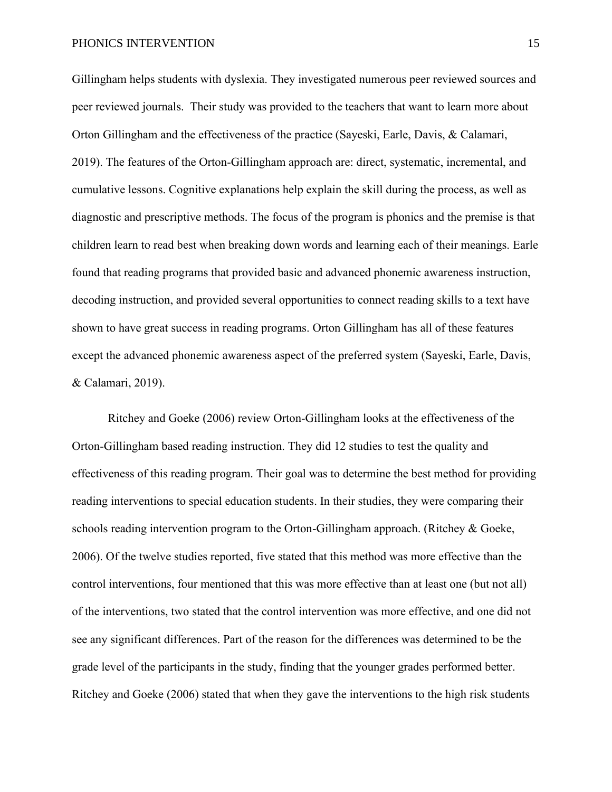Gillingham helps students with dyslexia. They investigated numerous peer reviewed sources and peer reviewed journals. Their study was provided to the teachers that want to learn more about Orton Gillingham and the effectiveness of the practice (Sayeski, Earle, Davis, & Calamari, 2019). The features of the Orton-Gillingham approach are: direct, systematic, incremental, and cumulative lessons. Cognitive explanations help explain the skill during the process, as well as diagnostic and prescriptive methods. The focus of the program is phonics and the premise is that children learn to read best when breaking down words and learning each of their meanings. Earle found that reading programs that provided basic and advanced phonemic awareness instruction, decoding instruction, and provided several opportunities to connect reading skills to a text have shown to have great success in reading programs. Orton Gillingham has all of these features except the advanced phonemic awareness aspect of the preferred system (Sayeski, Earle, Davis, & Calamari, 2019).

Ritchey and Goeke (2006) review Orton-Gillingham looks at the effectiveness of the Orton-Gillingham based reading instruction. They did 12 studies to test the quality and effectiveness of this reading program. Their goal was to determine the best method for providing reading interventions to special education students. In their studies, they were comparing their schools reading intervention program to the Orton-Gillingham approach. (Ritchey & Goeke, 2006). Of the twelve studies reported, five stated that this method was more effective than the control interventions, four mentioned that this was more effective than at least one (but not all) of the interventions, two stated that the control intervention was more effective, and one did not see any significant differences. Part of the reason for the differences was determined to be the grade level of the participants in the study, finding that the younger grades performed better. Ritchey and Goeke (2006) stated that when they gave the interventions to the high risk students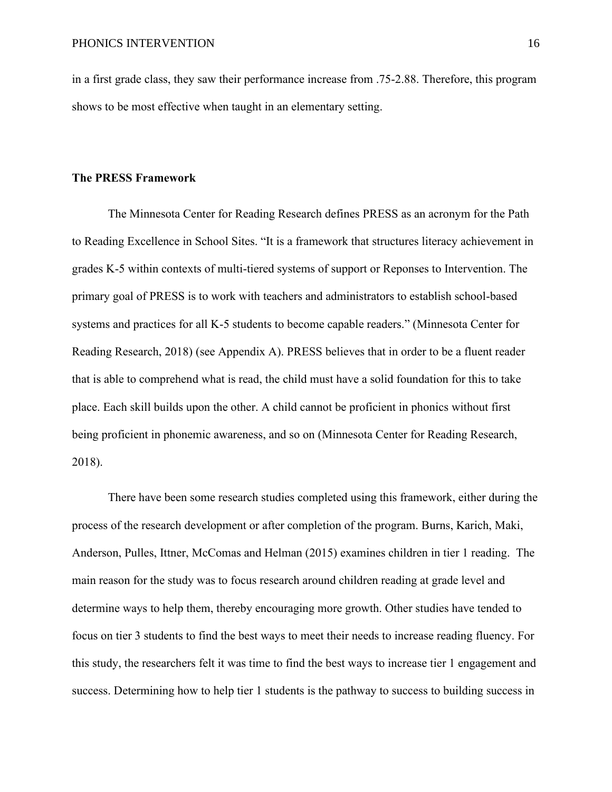in a first grade class, they saw their performance increase from .75-2.88. Therefore, this program shows to be most effective when taught in an elementary setting.

#### **The PRESS Framework**

The Minnesota Center for Reading Research defines PRESS as an acronym for the Path to Reading Excellence in School Sites. "It is a framework that structures literacy achievement in grades K-5 within contexts of multi-tiered systems of support or Reponses to Intervention. The primary goal of PRESS is to work with teachers and administrators to establish school-based systems and practices for all K-5 students to become capable readers." (Minnesota Center for Reading Research, 2018) (see Appendix A). PRESS believes that in order to be a fluent reader that is able to comprehend what is read, the child must have a solid foundation for this to take place. Each skill builds upon the other. A child cannot be proficient in phonics without first being proficient in phonemic awareness, and so on (Minnesota Center for Reading Research, 2018).

There have been some research studies completed using this framework, either during the process of the research development or after completion of the program. Burns, Karich, Maki, Anderson, Pulles, Ittner, McComas and Helman (2015) examines children in tier 1 reading. The main reason for the study was to focus research around children reading at grade level and determine ways to help them, thereby encouraging more growth. Other studies have tended to focus on tier 3 students to find the best ways to meet their needs to increase reading fluency. For this study, the researchers felt it was time to find the best ways to increase tier 1 engagement and success. Determining how to help tier 1 students is the pathway to success to building success in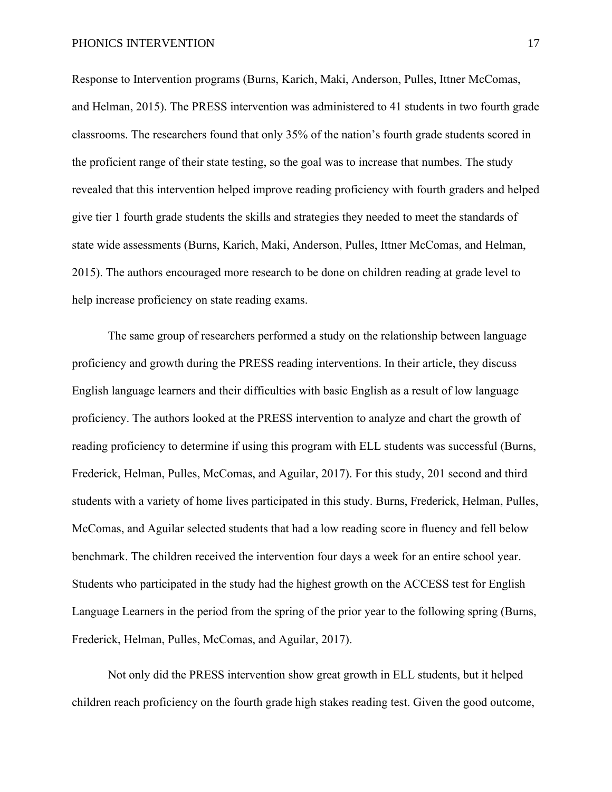Response to Intervention programs (Burns, Karich, Maki, Anderson, Pulles, Ittner McComas, and Helman, 2015). The PRESS intervention was administered to 41 students in two fourth grade classrooms. The researchers found that only 35% of the nation's fourth grade students scored in the proficient range of their state testing, so the goal was to increase that numbes. The study revealed that this intervention helped improve reading proficiency with fourth graders and helped give tier 1 fourth grade students the skills and strategies they needed to meet the standards of state wide assessments (Burns, Karich, Maki, Anderson, Pulles, Ittner McComas, and Helman, 2015). The authors encouraged more research to be done on children reading at grade level to help increase proficiency on state reading exams.

The same group of researchers performed a study on the relationship between language proficiency and growth during the PRESS reading interventions. In their article, they discuss English language learners and their difficulties with basic English as a result of low language proficiency. The authors looked at the PRESS intervention to analyze and chart the growth of reading proficiency to determine if using this program with ELL students was successful (Burns, Frederick, Helman, Pulles, McComas, and Aguilar, 2017). For this study, 201 second and third students with a variety of home lives participated in this study. Burns, Frederick, Helman, Pulles, McComas, and Aguilar selected students that had a low reading score in fluency and fell below benchmark. The children received the intervention four days a week for an entire school year. Students who participated in the study had the highest growth on the ACCESS test for English Language Learners in the period from the spring of the prior year to the following spring (Burns, Frederick, Helman, Pulles, McComas, and Aguilar, 2017).

Not only did the PRESS intervention show great growth in ELL students, but it helped children reach proficiency on the fourth grade high stakes reading test. Given the good outcome,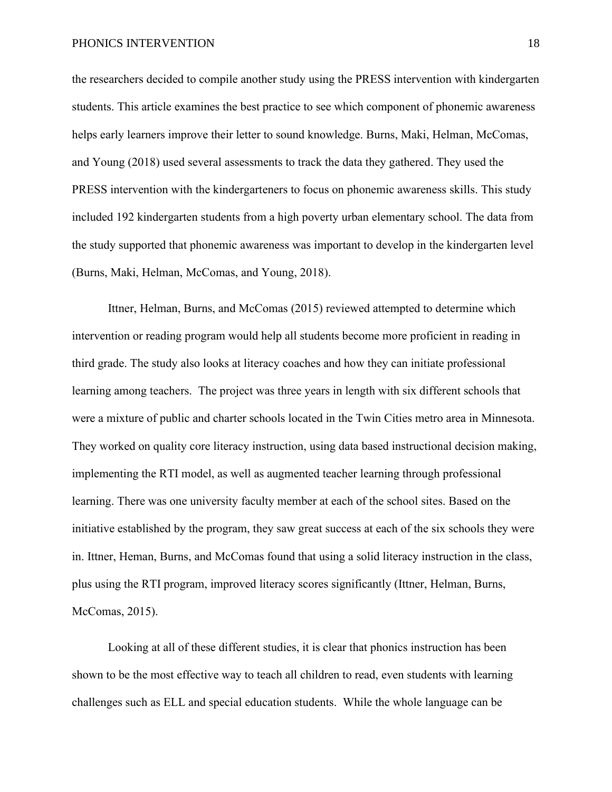the researchers decided to compile another study using the PRESS intervention with kindergarten students. This article examines the best practice to see which component of phonemic awareness helps early learners improve their letter to sound knowledge. Burns, Maki, Helman, McComas, and Young (2018) used several assessments to track the data they gathered. They used the PRESS intervention with the kindergarteners to focus on phonemic awareness skills. This study included 192 kindergarten students from a high poverty urban elementary school. The data from the study supported that phonemic awareness was important to develop in the kindergarten level (Burns, Maki, Helman, McComas, and Young, 2018).

Ittner, Helman, Burns, and McComas (2015) reviewed attempted to determine which intervention or reading program would help all students become more proficient in reading in third grade. The study also looks at literacy coaches and how they can initiate professional learning among teachers. The project was three years in length with six different schools that were a mixture of public and charter schools located in the Twin Cities metro area in Minnesota. They worked on quality core literacy instruction, using data based instructional decision making, implementing the RTI model, as well as augmented teacher learning through professional learning. There was one university faculty member at each of the school sites. Based on the initiative established by the program, they saw great success at each of the six schools they were in. Ittner, Heman, Burns, and McComas found that using a solid literacy instruction in the class, plus using the RTI program, improved literacy scores significantly (Ittner, Helman, Burns, McComas, 2015).

Looking at all of these different studies, it is clear that phonics instruction has been shown to be the most effective way to teach all children to read, even students with learning challenges such as ELL and special education students. While the whole language can be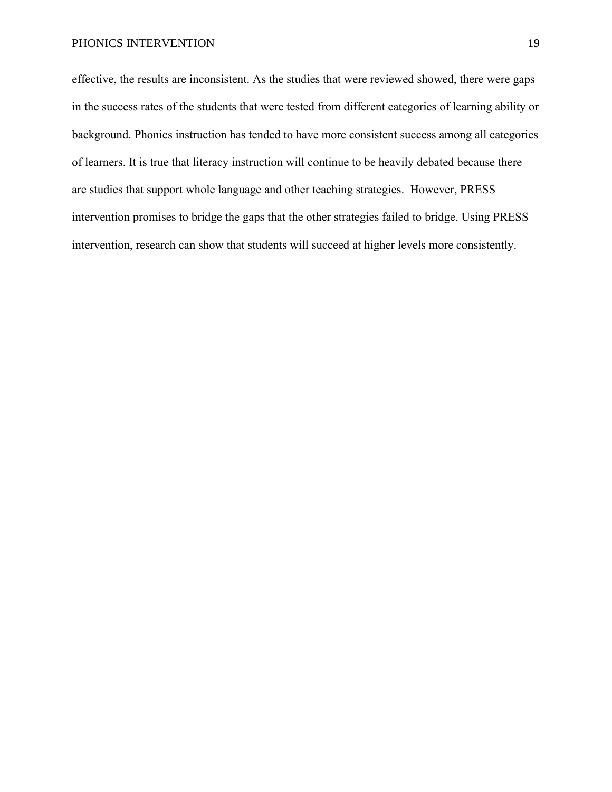effective, the results are inconsistent. As the studies that were reviewed showed, there were gaps in the success rates of the students that were tested from different categories of learning ability or background. Phonics instruction has tended to have more consistent success among all categories of learners. It is true that literacy instruction will continue to be heavily debated because there are studies that support whole language and other teaching strategies. However, PRESS intervention promises to bridge the gaps that the other strategies failed to bridge. Using PRESS intervention, research can show that students will succeed at higher levels more consistently.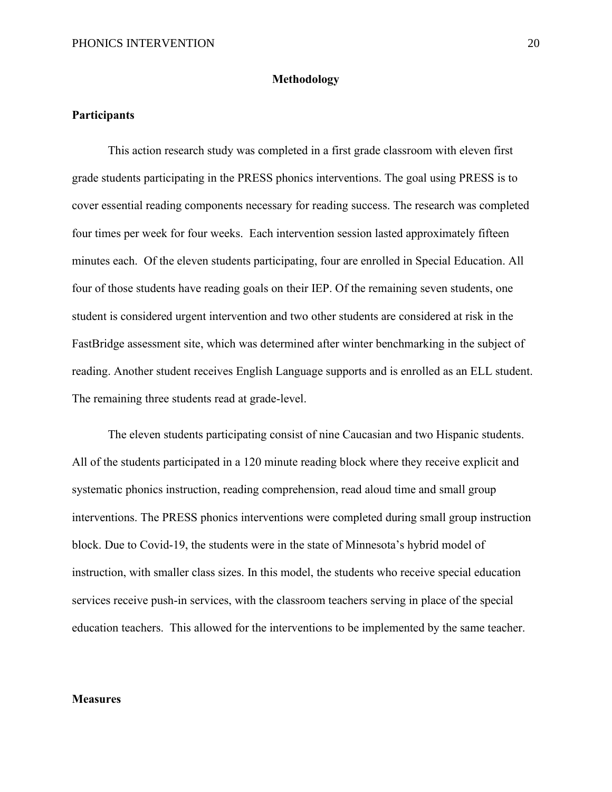#### **Methodology**

#### **Participants**

This action research study was completed in a first grade classroom with eleven first grade students participating in the PRESS phonics interventions. The goal using PRESS is to cover essential reading components necessary for reading success. The research was completed four times per week for four weeks. Each intervention session lasted approximately fifteen minutes each. Of the eleven students participating, four are enrolled in Special Education. All four of those students have reading goals on their IEP. Of the remaining seven students, one student is considered urgent intervention and two other students are considered at risk in the FastBridge assessment site, which was determined after winter benchmarking in the subject of reading. Another student receives English Language supports and is enrolled as an ELL student. The remaining three students read at grade-level.

The eleven students participating consist of nine Caucasian and two Hispanic students. All of the students participated in a 120 minute reading block where they receive explicit and systematic phonics instruction, reading comprehension, read aloud time and small group interventions. The PRESS phonics interventions were completed during small group instruction block. Due to Covid-19, the students were in the state of Minnesota's hybrid model of instruction, with smaller class sizes. In this model, the students who receive special education services receive push-in services, with the classroom teachers serving in place of the special education teachers. This allowed for the interventions to be implemented by the same teacher.

### **Measures**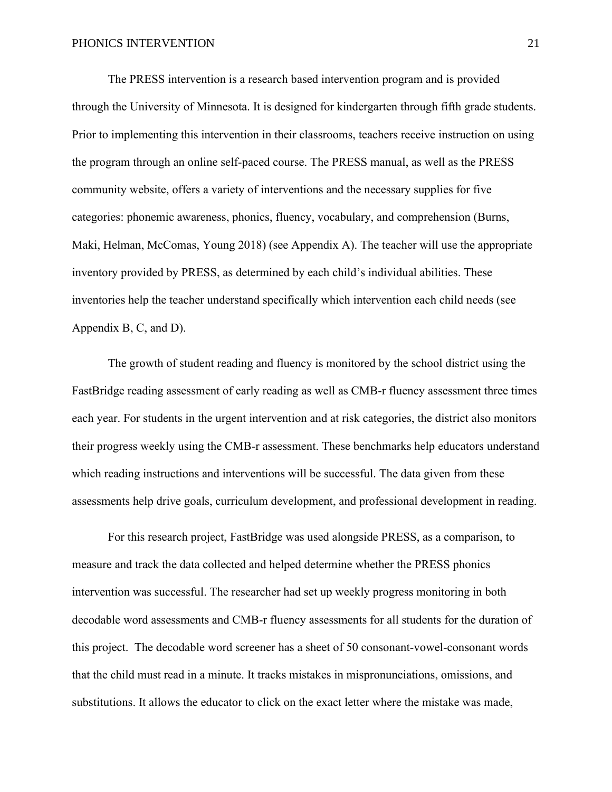The PRESS intervention is a research based intervention program and is provided through the University of Minnesota. It is designed for kindergarten through fifth grade students. Prior to implementing this intervention in their classrooms, teachers receive instruction on using the program through an online self-paced course. The PRESS manual, as well as the PRESS community website, offers a variety of interventions and the necessary supplies for five categories: phonemic awareness, phonics, fluency, vocabulary, and comprehension (Burns, Maki, Helman, McComas, Young 2018) (see Appendix A). The teacher will use the appropriate inventory provided by PRESS, as determined by each child's individual abilities. These inventories help the teacher understand specifically which intervention each child needs (see Appendix B, C, and D).

The growth of student reading and fluency is monitored by the school district using the FastBridge reading assessment of early reading as well as CMB-r fluency assessment three times each year. For students in the urgent intervention and at risk categories, the district also monitors their progress weekly using the CMB-r assessment. These benchmarks help educators understand which reading instructions and interventions will be successful. The data given from these assessments help drive goals, curriculum development, and professional development in reading.

For this research project, FastBridge was used alongside PRESS, as a comparison, to measure and track the data collected and helped determine whether the PRESS phonics intervention was successful. The researcher had set up weekly progress monitoring in both decodable word assessments and CMB-r fluency assessments for all students for the duration of this project. The decodable word screener has a sheet of 50 consonant-vowel-consonant words that the child must read in a minute. It tracks mistakes in mispronunciations, omissions, and substitutions. It allows the educator to click on the exact letter where the mistake was made,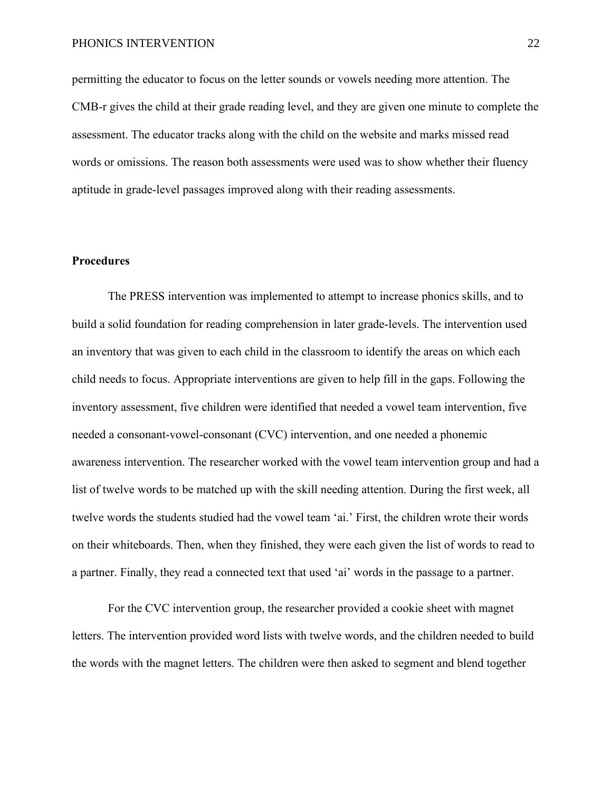permitting the educator to focus on the letter sounds or vowels needing more attention. The CMB-r gives the child at their grade reading level, and they are given one minute to complete the assessment. The educator tracks along with the child on the website and marks missed read words or omissions. The reason both assessments were used was to show whether their fluency aptitude in grade-level passages improved along with their reading assessments.

## **Procedures**

The PRESS intervention was implemented to attempt to increase phonics skills, and to build a solid foundation for reading comprehension in later grade-levels. The intervention used an inventory that was given to each child in the classroom to identify the areas on which each child needs to focus. Appropriate interventions are given to help fill in the gaps. Following the inventory assessment, five children were identified that needed a vowel team intervention, five needed a consonant-vowel-consonant (CVC) intervention, and one needed a phonemic awareness intervention. The researcher worked with the vowel team intervention group and had a list of twelve words to be matched up with the skill needing attention. During the first week, all twelve words the students studied had the vowel team 'ai.' First, the children wrote their words on their whiteboards. Then, when they finished, they were each given the list of words to read to a partner. Finally, they read a connected text that used 'ai' words in the passage to a partner.

For the CVC intervention group, the researcher provided a cookie sheet with magnet letters. The intervention provided word lists with twelve words, and the children needed to build the words with the magnet letters. The children were then asked to segment and blend together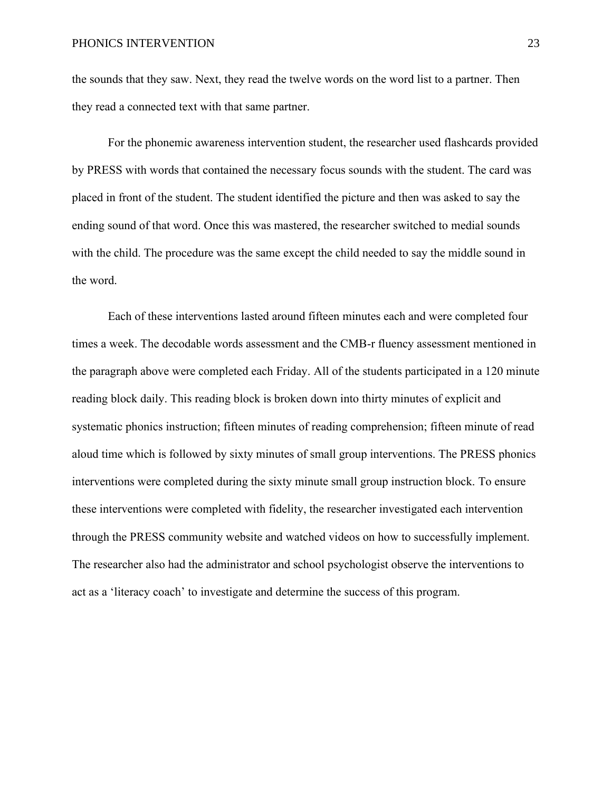the sounds that they saw. Next, they read the twelve words on the word list to a partner. Then they read a connected text with that same partner.

For the phonemic awareness intervention student, the researcher used flashcards provided by PRESS with words that contained the necessary focus sounds with the student. The card was placed in front of the student. The student identified the picture and then was asked to say the ending sound of that word. Once this was mastered, the researcher switched to medial sounds with the child. The procedure was the same except the child needed to say the middle sound in the word.

Each of these interventions lasted around fifteen minutes each and were completed four times a week. The decodable words assessment and the CMB-r fluency assessment mentioned in the paragraph above were completed each Friday. All of the students participated in a 120 minute reading block daily. This reading block is broken down into thirty minutes of explicit and systematic phonics instruction; fifteen minutes of reading comprehension; fifteen minute of read aloud time which is followed by sixty minutes of small group interventions. The PRESS phonics interventions were completed during the sixty minute small group instruction block. To ensure these interventions were completed with fidelity, the researcher investigated each intervention through the PRESS community website and watched videos on how to successfully implement. The researcher also had the administrator and school psychologist observe the interventions to act as a 'literacy coach' to investigate and determine the success of this program.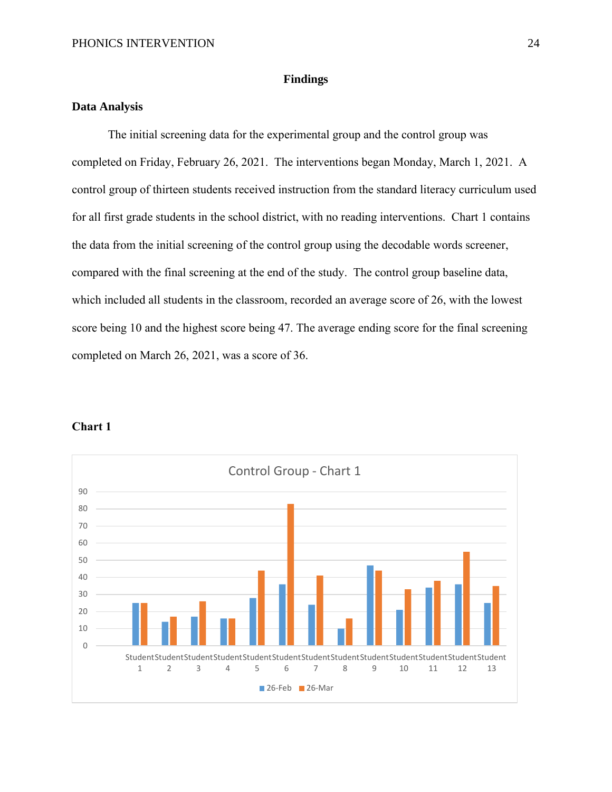#### **Findings**

# **Data Analysis**

The initial screening data for the experimental group and the control group was completed on Friday, February 26, 2021. The interventions began Monday, March 1, 2021. A control group of thirteen students received instruction from the standard literacy curriculum used for all first grade students in the school district, with no reading interventions. Chart 1 contains the data from the initial screening of the control group using the decodable words screener, compared with the final screening at the end of the study. The control group baseline data, which included all students in the classroom, recorded an average score of 26, with the lowest score being 10 and the highest score being 47. The average ending score for the final screening completed on March 26, 2021, was a score of 36.



#### **Chart 1**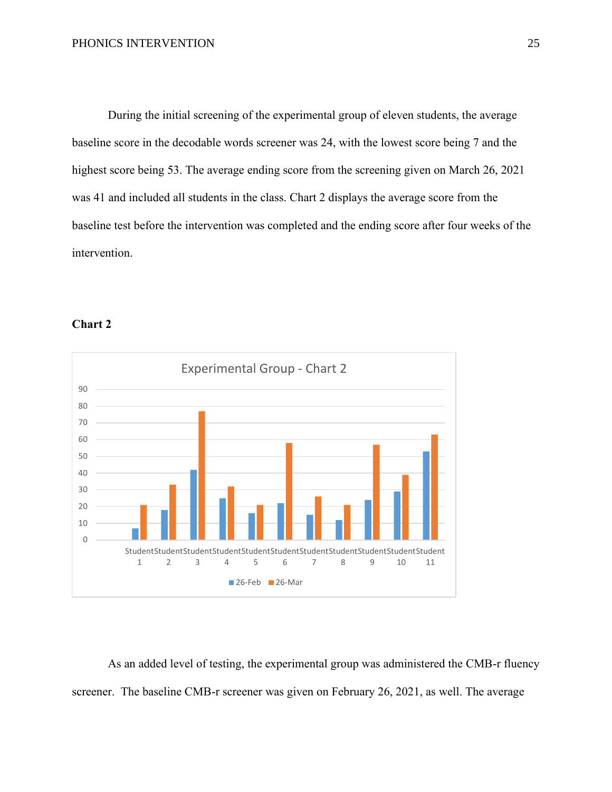During the initial screening of the experimental group of eleven students, the average baseline score in the decodable words screener was 24, with the lowest score being 7 and the highest score being 53. The average ending score from the screening given on March 26, 2021 was 41 and included all students in the class. Chart 2 displays the average score from the baseline test before the intervention was completed and the ending score after four weeks of the intervention.



#### **Chart 2**

As an added level of testing, the experimental group was administered the CMB-r fluency screener. The baseline CMB-r screener was given on February 26, 2021, as well. The average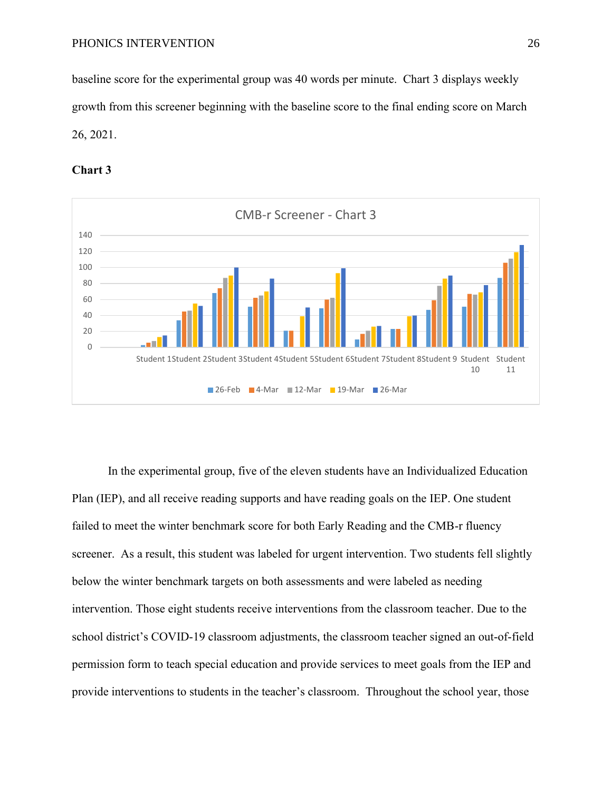baseline score for the experimental group was 40 words per minute. Chart 3 displays weekly growth from this screener beginning with the baseline score to the final ending score on March 26, 2021.





In the experimental group, five of the eleven students have an Individualized Education Plan (IEP), and all receive reading supports and have reading goals on the IEP. One student failed to meet the winter benchmark score for both Early Reading and the CMB-r fluency screener. As a result, this student was labeled for urgent intervention. Two students fell slightly below the winter benchmark targets on both assessments and were labeled as needing intervention. Those eight students receive interventions from the classroom teacher. Due to the school district's COVID-19 classroom adjustments, the classroom teacher signed an out-of-field permission form to teach special education and provide services to meet goals from the IEP and provide interventions to students in the teacher's classroom. Throughout the school year, those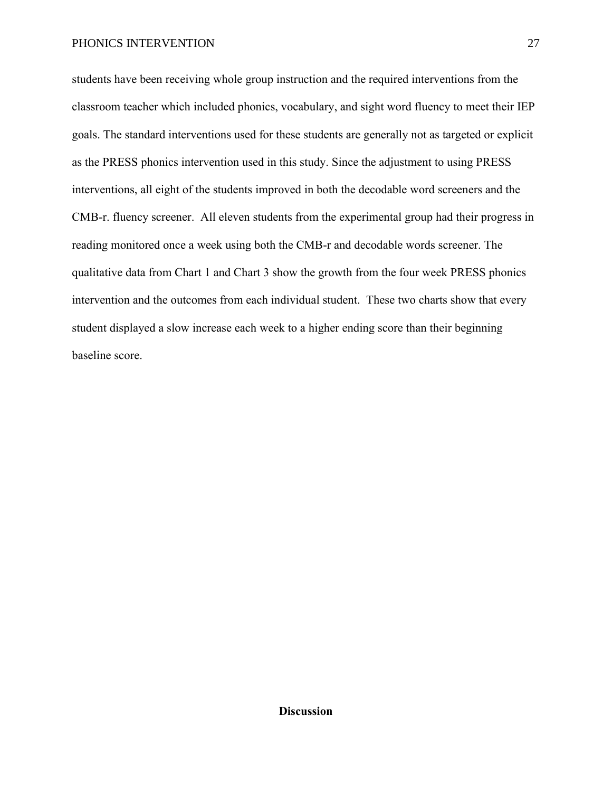students have been receiving whole group instruction and the required interventions from the classroom teacher which included phonics, vocabulary, and sight word fluency to meet their IEP goals. The standard interventions used for these students are generally not as targeted or explicit as the PRESS phonics intervention used in this study. Since the adjustment to using PRESS interventions, all eight of the students improved in both the decodable word screeners and the CMB-r. fluency screener. All eleven students from the experimental group had their progress in reading monitored once a week using both the CMB-r and decodable words screener. The qualitative data from Chart 1 and Chart 3 show the growth from the four week PRESS phonics intervention and the outcomes from each individual student. These two charts show that every student displayed a slow increase each week to a higher ending score than their beginning baseline score.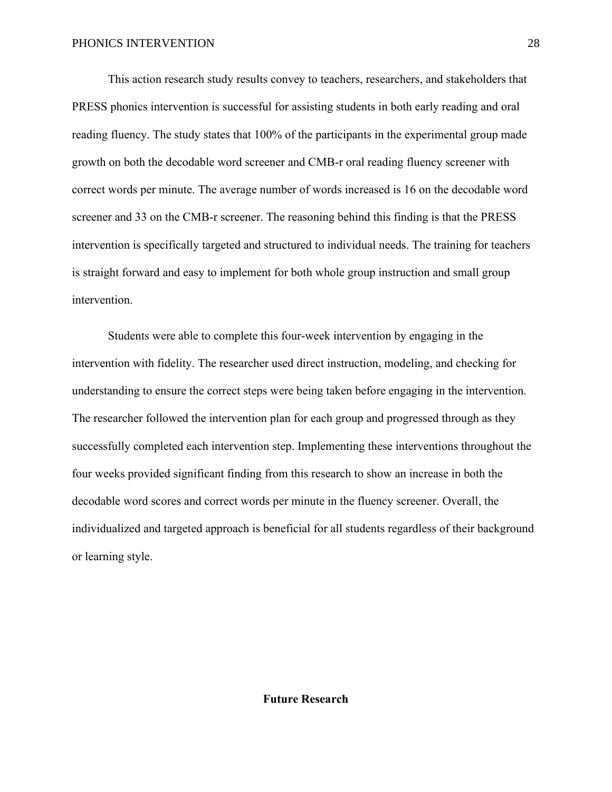This action research study results convey to teachers, researchers, and stakeholders that PRESS phonics intervention is successful for assisting students in both early reading and oral reading fluency. The study states that 100% of the participants in the experimental group made growth on both the decodable word screener and CMB-r oral reading fluency screener with correct words per minute. The average number of words increased is 16 on the decodable word screener and 33 on the CMB-r screener. The reasoning behind this finding is that the PRESS intervention is specifically targeted and structured to individual needs. The training for teachers is straight forward and easy to implement for both whole group instruction and small group intervention.

Students were able to complete this four-week intervention by engaging in the intervention with fidelity. The researcher used direct instruction, modeling, and checking for understanding to ensure the correct steps were being taken before engaging in the intervention. The researcher followed the intervention plan for each group and progressed through as they successfully completed each intervention step. Implementing these interventions throughout the four weeks provided significant finding from this research to show an increase in both the decodable word scores and correct words per minute in the fluency screener. Overall, the individualized and targeted approach is beneficial for all students regardless of their background or learning style.

**Future Research**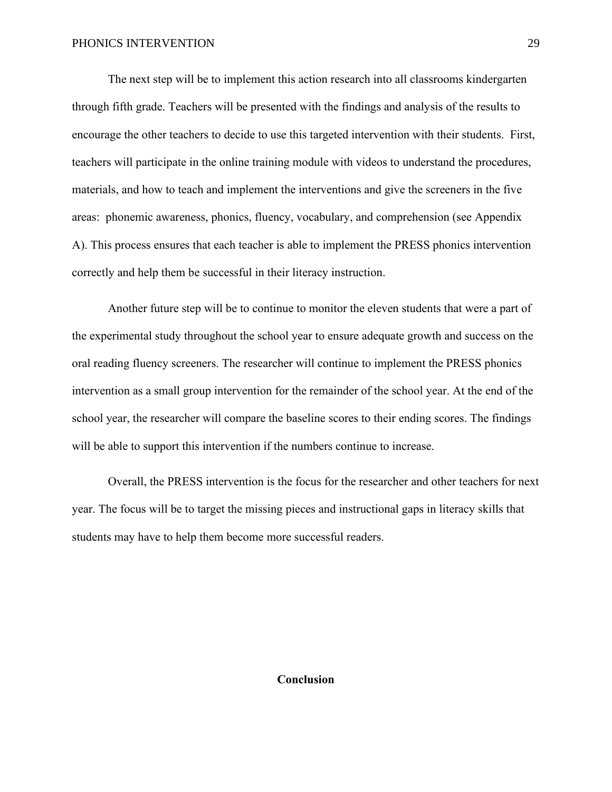The next step will be to implement this action research into all classrooms kindergarten through fifth grade. Teachers will be presented with the findings and analysis of the results to encourage the other teachers to decide to use this targeted intervention with their students. First, teachers will participate in the online training module with videos to understand the procedures, materials, and how to teach and implement the interventions and give the screeners in the five areas: phonemic awareness, phonics, fluency, vocabulary, and comprehension (see Appendix A). This process ensures that each teacher is able to implement the PRESS phonics intervention correctly and help them be successful in their literacy instruction.

Another future step will be to continue to monitor the eleven students that were a part of the experimental study throughout the school year to ensure adequate growth and success on the oral reading fluency screeners. The researcher will continue to implement the PRESS phonics intervention as a small group intervention for the remainder of the school year. At the end of the school year, the researcher will compare the baseline scores to their ending scores. The findings will be able to support this intervention if the numbers continue to increase.

Overall, the PRESS intervention is the focus for the researcher and other teachers for next year. The focus will be to target the missing pieces and instructional gaps in literacy skills that students may have to help them become more successful readers.

#### **Conclusion**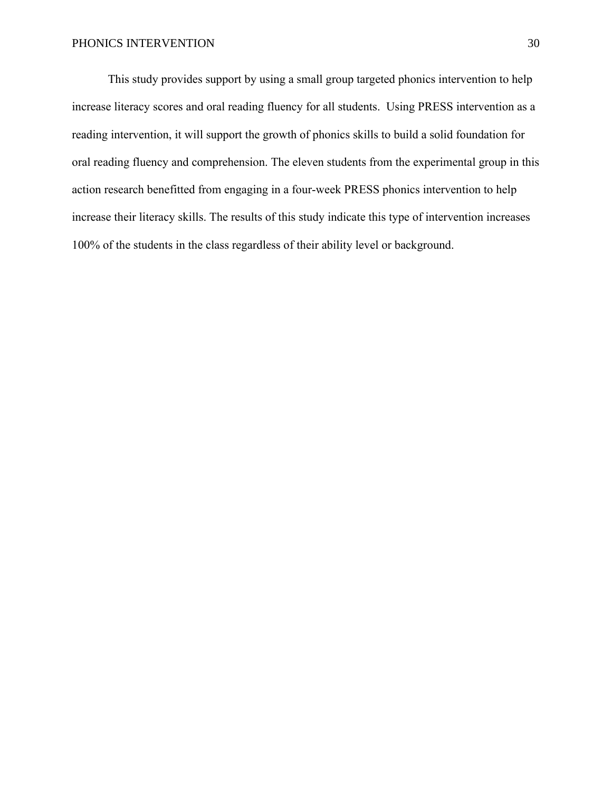This study provides support by using a small group targeted phonics intervention to help increase literacy scores and oral reading fluency for all students. Using PRESS intervention as a reading intervention, it will support the growth of phonics skills to build a solid foundation for oral reading fluency and comprehension. The eleven students from the experimental group in this action research benefitted from engaging in a four-week PRESS phonics intervention to help increase their literacy skills. The results of this study indicate this type of intervention increases 100% of the students in the class regardless of their ability level or background.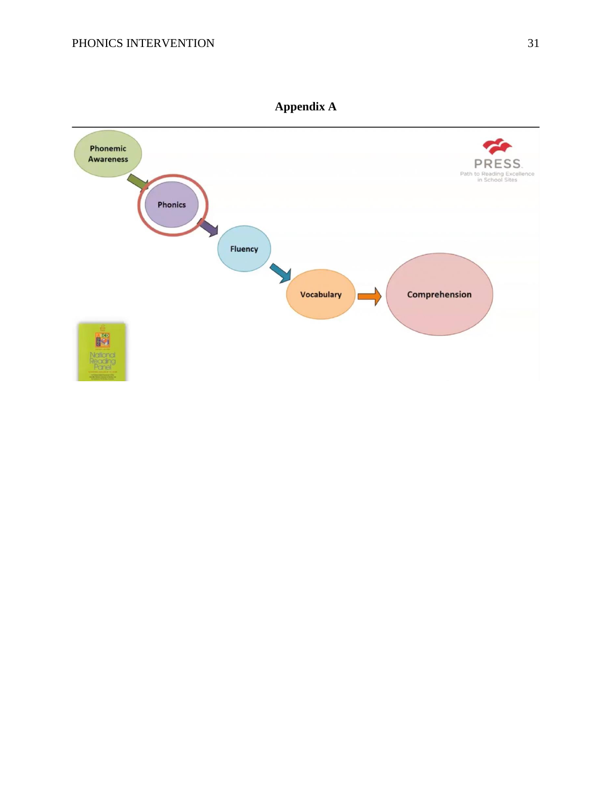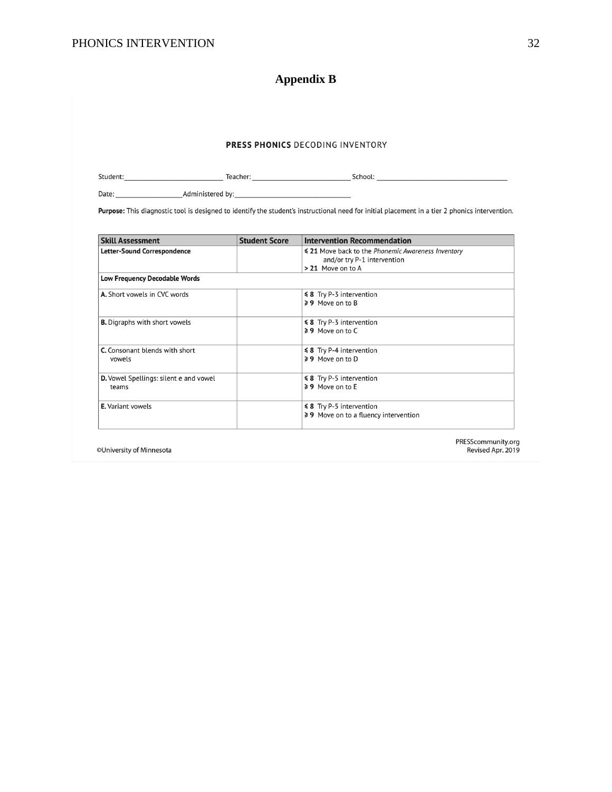# **Appendix B**

|                                        |                      | Purpose: This diagnostic tool is designed to identify the student's instructional need for initial placement in a tier 2 phonics intervention. |
|----------------------------------------|----------------------|------------------------------------------------------------------------------------------------------------------------------------------------|
| <b>Skill Assessment</b>                | <b>Student Score</b> | <b>Intervention Recommendation</b>                                                                                                             |
| <b>Letter-Sound Correspondence</b>     |                      | ≤ 21 Move back to the Phonemic Awareness Inventory                                                                                             |
|                                        |                      | and/or try P-1 intervention<br>> 21 Move on to A                                                                                               |
| <b>Low Frequency Decodable Words</b>   |                      |                                                                                                                                                |
| A. Short vowels in CVC words           |                      | $\leq 8$ Try P-3 intervention                                                                                                                  |
|                                        |                      | ≥9 Move on to B                                                                                                                                |
| <b>B.</b> Digraphs with short vowels   |                      | ≰ 8 Try P-3 intervention                                                                                                                       |
|                                        |                      | $\geq 9$ Move on to C                                                                                                                          |
| C. Consonant blends with short         |                      | ≰ 8 Try P-4 intervention                                                                                                                       |
| vowels                                 |                      | $\geq 9$ Move on to D                                                                                                                          |
| D. Vowel Spellings: silent e and vowel |                      | ≰ 8 Try P-5 intervention                                                                                                                       |
| teams                                  |                      | $\geq 9$ Move on to F                                                                                                                          |
| E. Variant vowels                      |                      | ≰ 8 Try P-5 intervention                                                                                                                       |
|                                        |                      | ≥ 9 Move on to a fluency intervention                                                                                                          |

©University of Minnesota

ESScommunity.org<br>Revised Apr. 2019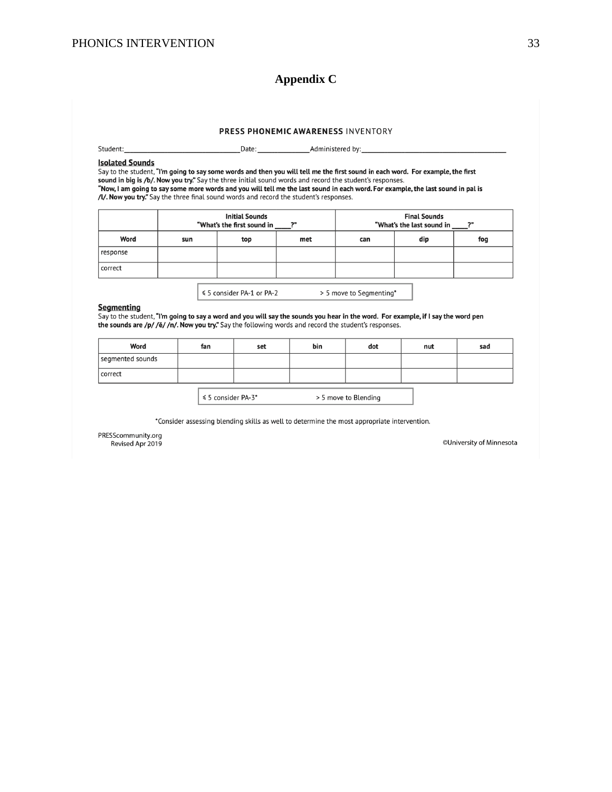# **Appendix C**

#### PRESS PHONEMIC AWARENESS INVENTORY

Student:

\_Administered by:\_

#### **Isolated Sounds**

Say to the student, "I'm going to say some words and then you will tell me the first sound in each word. For example, the first sound in big is /b/. Now you try." Say the three initial sound words and record the student's responses. "Now, I am going to say some more words and you will tell me the last sound in each word. For example, the last sound in pal is /l/. Now you try." Say the three final sound words and you will tell me the last sound in each

Date:

|          | <b>Initial Sounds</b><br>"What's the first sound in<br>2" |     |     | <b>Final Sounds</b><br>"What's the last sound in<br>2" |     |     |
|----------|-----------------------------------------------------------|-----|-----|--------------------------------------------------------|-----|-----|
| Word     | sun                                                       | top | met | can                                                    | dip | fog |
| response |                                                           |     |     |                                                        |     |     |
| correct  |                                                           |     |     |                                                        |     |     |

≤ 5 consider PA-1 or PA-2 > 5 move to Segmenting\*

#### **Segmenting**

Say to the student, "I'm going to say a word and you will say the sounds you hear in the word. For example, if I say the word pen the sounds are /p/ /ě/ /n/. Now you try." Say the following words and record the student's responses.

| Word             | fan | set | bin | dot | nut | sad |
|------------------|-----|-----|-----|-----|-----|-----|
| segmented sounds |     |     |     |     |     |     |
| correct          |     |     |     |     |     |     |
|                  |     |     |     |     |     |     |

 $\vert$   $\leq$  5 consider PA-3\* > 5 move to Blending

\*Consider assessing blending skills as well to determine the most appropriate intervention.

PRESScommunity.org Revised Apr 2019

©University of Minnesota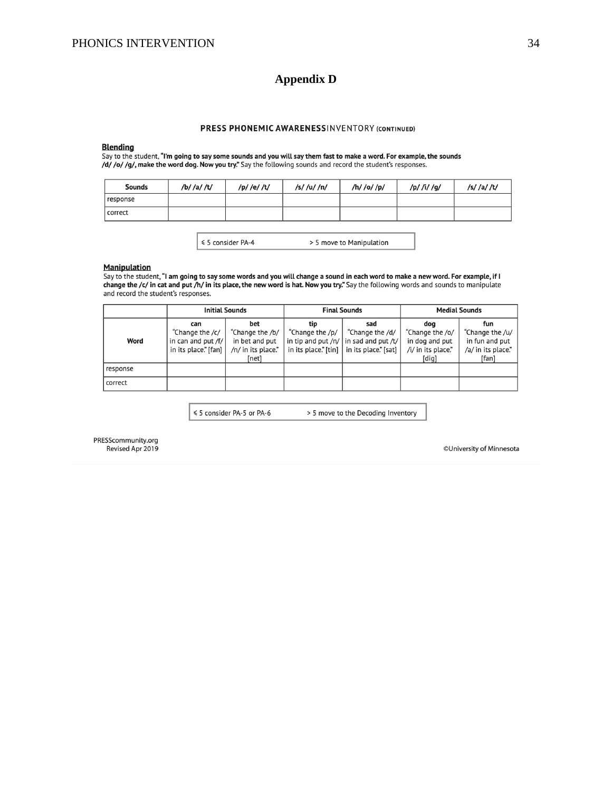# **Appendix D**

#### PRESS PHONEMIC AWARENESSINVENTORY (CONTINUED)

#### **Blending**

Say to the student, "I'm going to say some sounds and you will say them fast to make a word. For example, the sounds /d/ /o/ /g/, make the word dog. Now you try." Say the following sounds and record the student's responses.

| <b>Sounds</b> | /b/ /a/ /t/ | /p/ /e/ /t/ | /s//u//n/ | /h/ /o/ /p/ | /p/ /i/ /g/ | /s//a//t/ |
|---------------|-------------|-------------|-----------|-------------|-------------|-----------|
| response      |             |             |           |             |             |           |
| correct       |             |             |           |             |             |           |

≤ 5 consider PA-4

> 5 move to Manipulation

#### **Manipulation**

Say to the student, "I am going to say some words and you will change a sound in each word to make a new word. For example, if I change the /c/ in cat and put /h/ in its place, the new word is hat. Now you try." Say the following words and sounds to manipulate and record the student's responses.

|          | <b>Initial Sounds</b>  |                    | <b>Final Sounds</b> |                                                                                       | <b>Medial Sounds</b> |                    |
|----------|------------------------|--------------------|---------------------|---------------------------------------------------------------------------------------|----------------------|--------------------|
|          | can                    | bet                | tip                 | sad                                                                                   | doa                  | fun                |
|          | "Change the /c/        | "Change the /b/    | "Change the /p/     | "Change the /d/                                                                       | "Change the /o/      | "Change the /u/    |
| Word     | in can and put /f/ $ $ | in bet and put     |                     | in tip and put /n/ $\vert$ in sad and put /t/                                         | in dog and put       | in fun and put     |
|          | in its place." [fan]   | /n/ in its place." |                     | in its place." $\lceil \text{tin} \rceil$   in its place." $\lceil \text{sat} \rceil$ | /i/ in its place."   | /a/ in its place." |
|          |                        | [net]              |                     |                                                                                       | [dig]                | [fan]              |
| response |                        |                    |                     |                                                                                       |                      |                    |
| correct  |                        |                    |                     |                                                                                       |                      |                    |

≤ 5 consider PA-5 or PA-6 > 5 move to the Decoding Inventory

PRESScommunity.org Revised Apr 2019

©University of Minnesota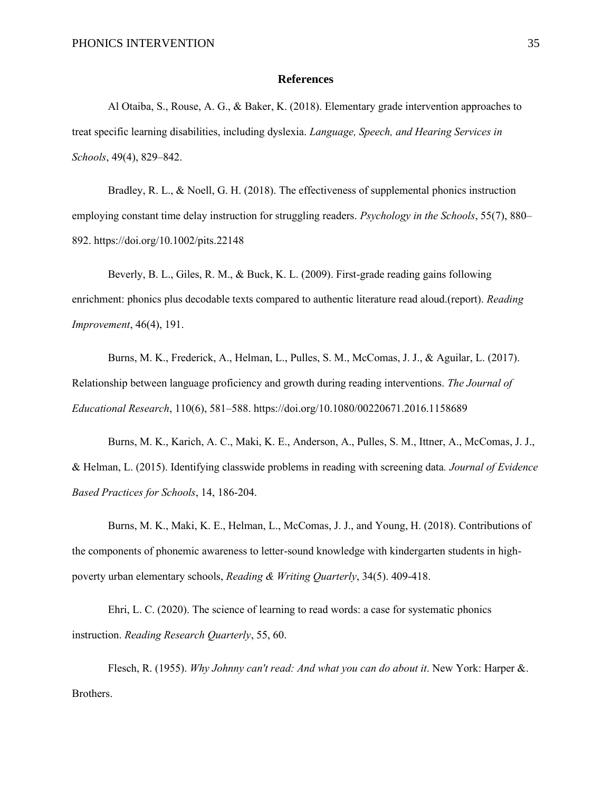#### **References**

Al Otaiba, S., Rouse, A. G., & Baker, K. (2018). Elementary grade intervention approaches to treat specific learning disabilities, including dyslexia. *Language, Speech, and Hearing Services in Schools*, 49(4), 829–842.

Bradley, R. L., & Noell, G. H. (2018). The effectiveness of supplemental phonics instruction employing constant time delay instruction for struggling readers. *Psychology in the Schools*, 55(7), 880– 892. https://doi.org/10.1002/pits.22148

Beverly, B. L., Giles, R. M., & Buck, K. L. (2009). First-grade reading gains following enrichment: phonics plus decodable texts compared to authentic literature read aloud.(report). *Reading Improvement*, 46(4), 191.

Burns, M. K., Frederick, A., Helman, L., Pulles, S. M., McComas, J. J., & Aguilar, L. (2017). Relationship between language proficiency and growth during reading interventions. *The Journal of Educational Research*, 110(6), 581–588. https://doi.org/10.1080/00220671.2016.1158689

Burns, M. K., Karich, A. C., Maki, K. E., Anderson, A., Pulles, S. M., Ittner, A., McComas, J. J., & Helman, L. (2015). Identifying classwide problems in reading with screening data*. Journal of Evidence Based Practices for Schools*, 14, 186-204.

Burns, M. K., Maki, K. E., Helman, L., McComas, J. J., and Young, H. (2018). Contributions of the components of phonemic awareness to letter-sound knowledge with kindergarten students in highpoverty urban elementary schools, *Reading & Writing Quarterly*, 34(5). 409-418.

Ehri, L. C. (2020). The science of learning to read words: a case for systematic phonics instruction. *Reading Research Quarterly*, 55, 60.

Flesch, R. (1955). *Why Johnny can't read: And what you can do about it*. New York: Harper &. Brothers.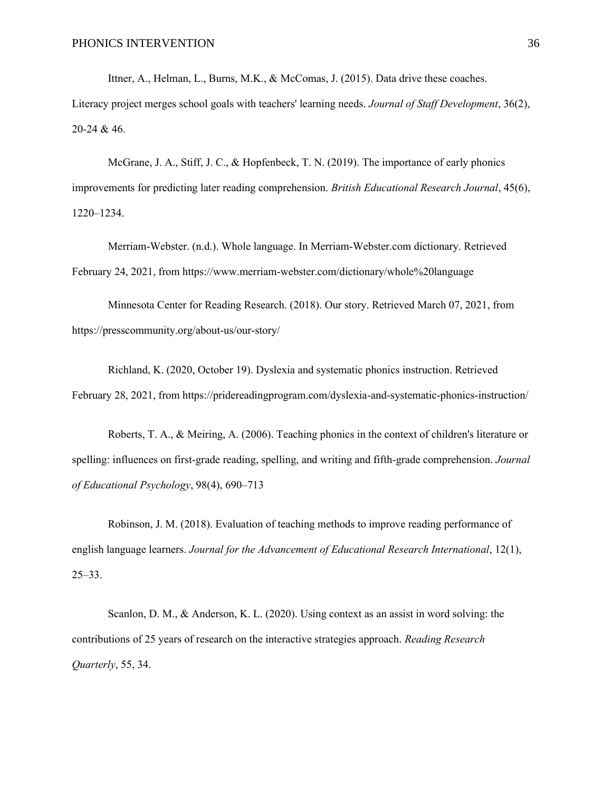Ittner, A., Helman, L., Burns, M.K., & McComas, J. (2015). Data drive these coaches. Literacy project merges school goals with teachers' learning needs. *Journal of Staff Development*, 36(2), 20-24 & 46.

McGrane, J. A., Stiff, J. C., & Hopfenbeck, T. N. (2019). The importance of early phonics improvements for predicting later reading comprehension. *British Educational Research Journal*, 45(6), 1220–1234.

Merriam-Webster. (n.d.). Whole language. In Merriam-Webster.com dictionary. Retrieved February 24, 2021, from https://www.merriam-webster.com/dictionary/whole%20language

Minnesota Center for Reading Research. (2018). Our story. Retrieved March 07, 2021, from https://presscommunity.org/about-us/our-story/

Richland, K. (2020, October 19). Dyslexia and systematic phonics instruction. Retrieved February 28, 2021, from https://pridereadingprogram.com/dyslexia-and-systematic-phonics-instruction/

Roberts, T. A., & Meiring, A. (2006). Teaching phonics in the context of children's literature or spelling: influences on first-grade reading, spelling, and writing and fifth-grade comprehension. *Journal of Educational Psychology*, 98(4), 690–713

Robinson, J. M. (2018). Evaluation of teaching methods to improve reading performance of english language learners. *Journal for the Advancement of Educational Research International*, 12(1), 25–33.

Scanlon, D. M., & Anderson, K. L. (2020). Using context as an assist in word solving: the contributions of 25 years of research on the interactive strategies approach. *Reading Research Quarterly*, 55, 34.